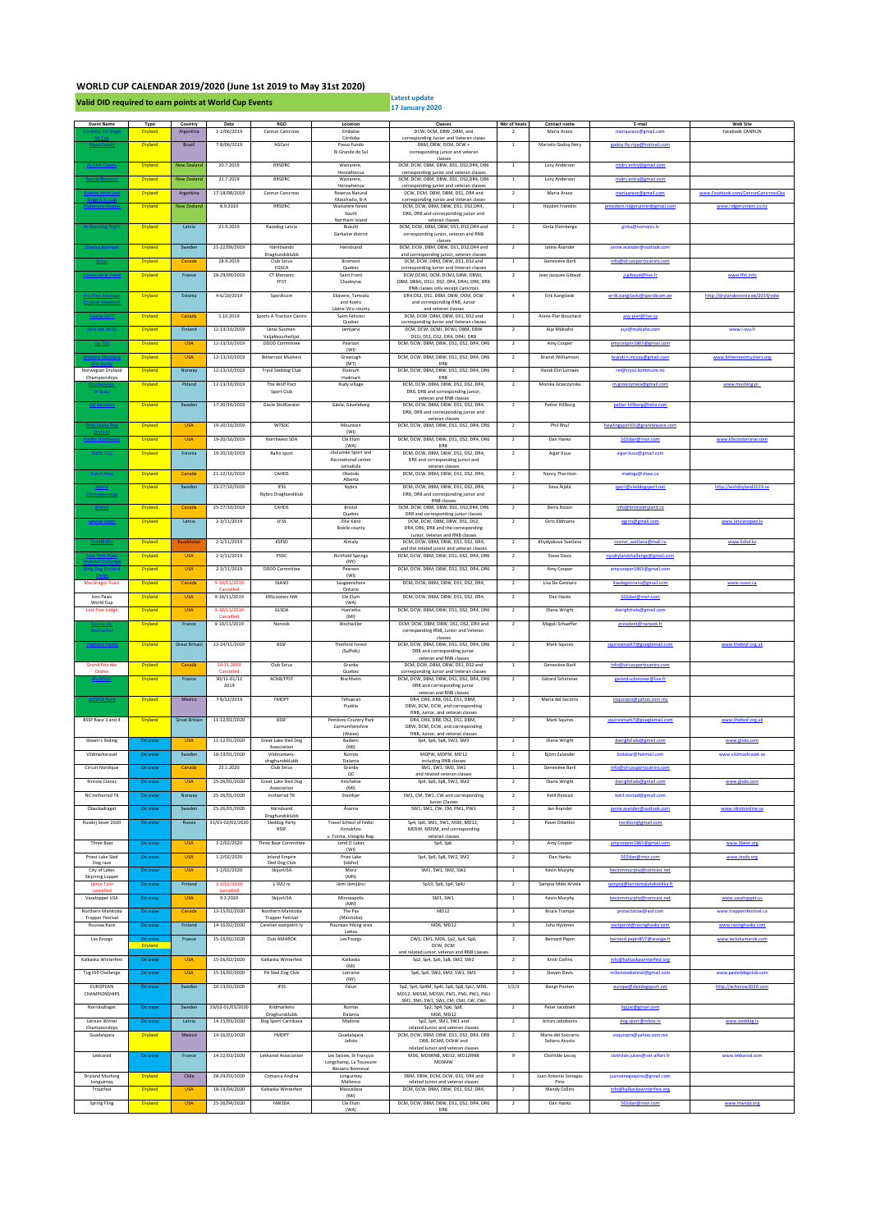## **WORLD CUP CALENDAR 2019/2020 (June 1st 2019 to May 31st 2020)**

**Valid DID required to earn points at World Cup Events** 

**17 January 2020** 

| <b>Event Name</b>                            | Type           | Country              | Date                         | RGO                                          | Location                                            | Classes                                                                            | Nbr of heats            | Contact name          | E-mail                          | <b>Web Site</b>                     |
|----------------------------------------------|----------------|----------------------|------------------------------|----------------------------------------------|-----------------------------------------------------|------------------------------------------------------------------------------------|-------------------------|-----------------------|---------------------------------|-------------------------------------|
|                                              | Dryland        | Argentina            | $1 - 2/06/2019$              | Canrun Canicross                             | Embalse<br>Córdoba                                  | DCW, DCM, DBW, DBM, and<br>corresponding Junior and Veteran clases                 | $\overline{\mathbf{z}}$ | Maria Araoz           | mariaaraoz@gmail.com            | Facebook CANRUN                     |
|                                              | Dryland        | Brazil               | 7-8/06/2019                  | AGCani                                       | Passo Fundo<br>Ri Grande do Sul                     | DBM, DBW, DCM, DCW+<br>corresponding junior and veteran                            | $\,$ 1 $\,$             | Marcelo Godoy Nery    | endov flo rina@hotmail com      |                                     |
|                                              | Dryland        | New Zealand          | 20.7.2019                    | RRSDRC                                       | Waitarere,                                          | classes<br>DCM, DCW, DBM, DBW, DS1, DS2, DR4, DR6                                  | <sup>1</sup>            | Lucy Anderson         | rrsdrc.entry@gmail.com          |                                     |
| <b>ACANA</b>                                 |                |                      |                              |                                              | Horowhenua                                          | corresponding junior and veteran classes                                           |                         |                       |                                 |                                     |
| <b>Bootie Blowou</b>                         | Dryland        | New Zealand          | 21.7.2019                    | RRSDRC                                       | Waitarere,<br>Horowhenua                            | DCM, DCW, DBM, DBW, DS1, DS2, DR4, DR6<br>corresponding junior and veteran classes | $\mathbf{1}$            | Lucy Anderson         | rrsdrc.entry@gmail.com          |                                     |
|                                              | Dryland        | Argentina            | 17-18/08/2019                | Canrun Canicross                             | Reserva Natural<br>Maschwitz, B-A                   | DCW, DCM, DBW, DBM, DS1, DR4 and<br>corresponding Junior and Veteran clases        | $\overline{2}$          | Maria Araoz           | mariaaraoz@gmail.com            | www.Facebook.com/CanrunCanicrossCba |
|                                              | Dryland        | New Zealand          | 8.9.2019                     | RRSDRC                                       | Waitarere forest<br>South                           | DCM, DCW, DBM, DBW, DS1, DS2, DR4,<br>DR6, DR8 and corresponding junior and        | $\,$ 1 $\,$             | Hayden Franklin       | president.ridgerunner@gmail.com | www.ridgerunners.co.nz              |
|                                              |                |                      |                              |                                              | Northern Island                                     | veteran classes                                                                    |                         |                       |                                 |                                     |
| <b>Be Racedog Nig</b>                        | Dryland        | Latvia               | 21.9.2019                    | Racedog Latvia                               | Bukulti<br>Garkalne district                        | DCM, DCW, DBM, DBW, DS1, DS2, DR4 and<br>corresponding junior, veteran and RNB     | $\overline{2}$          | Ginta Kleinberga      | ginta@nomanis.lv                |                                     |
|                                              | Dryland        | Sweden               | 21-22/09/2019                | Härnösands                                   | Härnösand                                           | classes<br>DCM, DCW, DBM, DBW, DS1, DS2, DR4 and                                   | $\mathbf{2}$            | Janne Asander         | janne.asander@outlook.com       |                                     |
|                                              |                |                      | 28.9.2019                    | Draghundsklubb<br>Club Sirius                |                                                     | and corresponding junior, veteran classes<br>DCM, DCW, DBM, DBW, DS1, DS2 and      |                         |                       |                                 |                                     |
| <u>Siriu</u>                                 | Dryland        | Canada               |                              | FQSCA                                        | Bromont<br>Quebec                                   | corresponding Junior and Veteran classes                                           | <sup>1</sup>            | Geneviève Baril       | info@siriussportscanins.com     |                                     |
| Course de St Fron                            | Dryland        | France               | 28-29/09/2019                | CT Menzenc<br>FFST                           | Saint Front<br>Chadeyrac                            | DCW DCWL DCM, DCML DRW, DRWL<br>DBM, DBMJ, DS1J, DS2, DR4, DR4J, DR6, DR8          | $\overline{2}$          | Jean Jacques Gibaud   | ji.gibaud@live.fr               | www.ffst.info                       |
|                                              | Dryland        | Estonia              | $4 - 6/10/2019$              | Spordicom                                    | Ebavere, Tamsalu                                    | RNB classes only except Canicross<br>DR4;DS2, DS1, DBM, DBW, DCM, DCW              | $\overline{4}$          | Erik Kangilaski       | errik.kangilaski@spordicom.ee   | http://drylandestonia.ee/2019/edw   |
|                                              |                |                      |                              |                                              | and Koeru<br>Lääne-Viru county                      | and corresponding RNB, Junior<br>and veteran classes                               |                         |                       |                                 |                                     |
|                                              | Dryland        | Canada               | 5.10.2019                    | Sports A Traction Canins                     | Saint Félicien                                      | DCM, DCW, DBM, DBW, DS1, DS2 and                                                   | $\,$ 1                  | Annie-Pier Bouchard   | any-pier@live.ca                |                                     |
| Jämi-SM 2019                                 | Dryland        | Finland              | 12-13/10/2019                | Länsi-Suomen                                 | Quebec<br>Jämijärvi                                 | corresponding Junior and Veteran classes<br>DCM, DCW, DCMJ, DCWJ, DBM, DBW         | $\overline{2}$          | Aija Măkiaho          | aija@makjaho.com                | www.l-svu.fi                        |
|                                              | Dryland        | <b>USA</b>           | 12-13/10/2019                | Valjakkourheilijat<br><b>DDDD</b> Committee  | Pearson                                             | DS1J, DS1, DS2, DR4, DR4J, DR8<br>DCM, DCW, DBM, DBW, DS1, DS2, DR4, DR6           | $\overline{2}$          | Amy Cooper            | amvcooper1865@gmail.com         |                                     |
|                                              | Dryland        | <b>USA</b>           | 12-13/10/2019                | <b>Bitterroot Mushers</b>                    | (WI)<br>Greeough                                    | DCM, DCW, DBM, DBW, DS1, DS2, DR4, DR6                                             | $\overline{2}$          | Brandi Williamson     | brandi.n.mccov@gmail.com        | www.bitterrootmushers.org           |
|                                              |                |                      |                              |                                              | (MT)<br>Elverum                                     | DR8<br>DCM, DCW, DBM, DBW, DS1, DS2, DR4, DR6                                      | $\overline{2}$          | Randi Elin Lutnaes    |                                 |                                     |
| Norwegian Dryland<br>Championships           | Dryland        | Norway               | 12-13/10/2019                | Trysil Sleddog Club                          | Hadmark                                             | DR8                                                                                |                         |                       | rel@trysil.kommune.no           |                                     |
| W Buku                                       | Dryland        | Poland               | 12-13/10/2019                | The Wolf Pact<br>Sport Club                  | Rudy village                                        | DCM, DCW, DBM, DBW, DS1, DS2, DR4,<br>DR6, DR8 and corresponding junior,           | $\overline{2}$          | Monika Grzeczynska    | m.grzeczynska@gmail.com         | www.mushing.pl                      |
| <b>SM Barma</b>                              | Dryland        | Sweden               | 17-20/10/2019                | Gävle SkidKarater                            | Gävle, Gäveleborg                                   | veteran and RNB classes<br>DCM, DCW, DBM, DBW, DS1, DS2, DR4,                      | $\overline{2}$          | Petter Hillborg       | petter.hillborg@telia.com       |                                     |
|                                              |                |                      |                              |                                              |                                                     | DR6, DR8 and corresponding junior and                                              |                         |                       |                                 |                                     |
|                                              | Dryland        | <b>USA</b>           | 19-20/10/2019                | WTSDC                                        | Mountain                                            | veteran classes<br>DCM, DCW, DBM, DBW, DS1, DS2, DR4, DR6                          | $\overline{2}$          | Phil Rhul             | howlingspirit01@granitewave.com |                                     |
|                                              | Dryland        | <b>USA</b>           | 19-20/10/2019                | Northwest SDA                                | (WI)<br>Cle Elum                                    | DCM, DCW, DBM, DBW, DS1, DS2, DR4, DR6                                             | $\overline{2}$          | Dan Hanks             | 502dan@msn.com                  | www.k9scootersnw.com                |
|                                              | Dryland        | Estonia              | 19-20/10/2019                | <b>Balto sport</b>                           | (WA)<br>Jõulumäe Sport and                          | DR <sub>8</sub><br>DCM, DCW, DBM, DBW, DS1, DS2, DR4,                              | $\overline{2}$          | Aigar Kuus            | aigar.kuus@gmail.com            |                                     |
|                                              |                |                      |                              |                                              | Recreational center                                 | DR6 and corresponding junior and                                                   |                         |                       |                                 |                                     |
|                                              | Dryland        | Canada               | 21-22/10/2019                | CAHDS                                        | LeinaKüla<br>Okotoks                                | veteran classes<br>DCM, DCW, DBM, DBW, DS1, DS2, DR4,                              | $\overline{2}$          | Nancy Thornton        | madogz@shaw.ca                  |                                     |
|                                              | Dryland        | Sweden               | 23-27/10/2019                | IFSS                                         | Alberta<br>Nybro                                    | DCM, DCW, DBM, DBW, DS1, DS2, DR4,                                                 | $\,$ 2 $\,$             | Eeva Äijälä           | sport@sleddogsport.net          | http://wchdrvland2019.se            |
| <b>Championships</b>                         |                |                      |                              | Nybro Draghundklub                           |                                                     | DR6. DR8 and corresponding junior and<br>RNB classes                               |                         |                       |                                 |                                     |
|                                              | Dryland        | Canada               | 25-27/10/2019                | CAHDS                                        | Bristol                                             | DCM DCW DRM DRW DS1 DS2 DR4 DR6                                                    | $\overline{2}$          | Denis Rozon           | info@bristoldryland.ca          |                                     |
| Latvian Oper                                 | Dryland        | Latvia               | $2 - 3/11/2019$              | LFSS                                         | Quebec<br>Zilie Kalni                               | DR8 and corresponding junior classes<br>DCM, DCW, DBM, DBW, DS1, DS2,              | $\overline{2}$          | Girts Eldmanis        | egirts@gmail.com                | www.latvianopen.lv                  |
|                                              |                |                      |                              |                                              | Ikskile county                                      | DR4, DR6, DR8 and the corresponding<br>Junior, Veteran and RNB classes             |                         |                       |                                 |                                     |
| Zima                                         | Dryland        | Kazakhstar           | $2 - 3/11/2019$              | KSFSD                                        | Almaty                                              | DCM, DCW, DBM, DBW, DS1, DS2, DR4,<br>and the related junior and veteran classes   | $\overline{2}$          | Khydyakova Svetlana   | cosmo svetlana@mail.ru          | www.ksfsd.kz                        |
|                                              | Dryland        | <b>USA</b>           | $2 - 3/11/2019$              | PSDC                                         | <b>Richfield Springs</b>                            | DCM, DCW, DBM, DBW, DS1, DS2, DR4, DR6                                             | $\overline{2}$          | Steve Davis           | nysdrylandchallenge@gmail.com   |                                     |
| Dirty Dog Dr                                 | Dryland        | <b>USA</b>           | $2 - 3/11/2019$              | <b>DDDD</b> Committee                        | (NY)<br>Pearson                                     | DCM, DCW, DBM, DBW, DS1, DS2, DR4, DR6                                             | $\overline{2}$          | Amy Cooper            | amvcooper1865@gmail.com         |                                     |
| <b>MacGregor Point</b>                       | Dryland        | Canada               | 9-10/11/2019                 | SSASO                                        | (WI)<br>Saugeenshore                                | DCM, DCW, DBM, DBW, DS1, DS2, DR4,                                                 | $\overline{2}$          | Lisa De Gennaro       | lisadegennaro@gmail.com         | www.ssaso.ca                        |
| Iron Paws                                    | Dryland        | <b>USA</b>           | $9-10/11/2019$               | K9Scooters NW                                | Ontario<br>Cle Elum                                 | DCM, DCW, DBM, DBW, DS1, DS2, DR4,                                                 | $\overline{2}$          | Dan Hanks             | 502dan@msn.com                  |                                     |
| World Cup                                    |                |                      |                              |                                              | (WA)                                                |                                                                                    |                         |                       |                                 |                                     |
| Lost Pine Lodge                              | Dryland        | <b>USA</b>           | 9-10/11/2019                 | GLSDA                                        | Harrietta<br>(MI)                                   | DCM, DCW, DBM, DBW, DS1, DS2, DR4, DR6                                             | $\overline{2}$          | Diana Wright          | dwrightIsda@gmail.com           |                                     |
| <b>Bischwiller</b>                           | Dryland        | France               | 9-10/11/2019                 | Nanook                                       | Bischwiller                                         | DCM, DCW, DBM, DBW, DS1, DS2, DR4 and<br>corresponding RNB, Junior and Veteran     | $\overline{2}$          | Magali Schaeffer      | president@nanook.fr             |                                     |
|                                              | Dryland        | <b>Great Britain</b> | 23-24/11/2019                | <b>BSSF</b>                                  | <b>Thetford Forest</b>                              | classes<br>DCM, DCW, DBM, DBW, DS1, DS2, DR4, DR6                                  | $\overline{2}$          | Mark Squires          | squiresmark7@googlemail.com     | www.thebssf.org.uk                  |
|                                              |                |                      |                              |                                              | (Suffolk)                                           | DR8 and corresponding junior                                                       |                         |                       |                                 |                                     |
| <b>Grand Prix des</b>                        | Dryland        | Canada               | 24.11.2019                   | Club Sirius                                  | Granby                                              | veteran and RNB classes<br>DCM, DCW, DBM, DBW, DS1, DS2 and                        | $\,$ 1 $\,$             | Geneviève Baril       | info@siriussportscanins.com     |                                     |
| Cèdres                                       | Dryland        | France               | Cancelled<br>$30/11 - 01/12$ | ACNB/FFST                                    | Quebec<br>Bischheim                                 | corresponding Junior and Veteran classes<br>DCM, DCW, DBM, DBW, DS1, DS2, DR4, DR6 | $\overline{2}$          | Gérard Schimmer       | gerard.schimmer@live.fr         |                                     |
|                                              |                |                      | 2019                         |                                              |                                                     | DR8 and corresponding junior<br>veteran and RNB classes                            |                         |                       |                                 |                                     |
| <b>AZTECA Rao</b>                            | Dryland        | Mexico               | 7-8/12/2019                  | FMDPT                                        | Tehuacan                                            | DR4, DR6, DR8, DS2, DS1, DBM,                                                      | $\overline{2}$          | Maria del Socorro     | coouisoro@vahoo.com.mx          |                                     |
|                                              |                |                      |                              |                                              | Puebla                                              | DBW, DCM, DCW, and corresponding<br>RNB, Junior, and veteran classes               |                         |                       |                                 |                                     |
| BSSF Race 3 and 4                            | Dryland        | <b>Great Britain</b> | 11-12/01/2020                | <b>BSSF</b>                                  | Pembrey Country Park<br>Carmarthenshire             | DR4, DR6, DR8, DS2, DS1, DBM,<br>DBW, DCM, DCW, and corresponding                  | $\overline{2}$          | Mark Squires          | squiresmark7@googlemail.com     | www.thebssf.org.uk                  |
| Stearn's Sliding                             | On snow        | <b>USA</b>           | 11-12/01/2020                | Great Lake Sled Dog                          | (Wales)<br>Badwin                                   | RNB, Junior, and veteran classes<br>Sp4, Sp6, Sp8, SW2, SM2                        | $\overline{2}$          | Diana Wright          | dwrightlsda@gmail.com           | www.elsda.com                       |
| Vildmarksraset                               |                |                      | 18-19/01/2020                | Association                                  | (MI)                                                |                                                                                    |                         | Biörn Zalander        |                                 |                                     |
|                                              | On snow        | Sweden               |                              | Vildmarkens<br>draghundsklubb                | Nornäs<br>Dalarna                                   | MDPW, MDPM, MD12<br>including RNB classes                                          | $\overline{2}$          |                       | bzdakar@hotmail.com             | www.vildmarkraset.se                |
| Circuit Nordique                             | On snow        | Canada               | 25.1.2020                    | Club Sirius                                  | Granby                                              | SM1, SW1, SM2, SW2                                                                 | $\,$ 1 $\,$             | Geneviève Baril       | info@siriussportscanins.com     |                                     |
| Kinross Classic                              | On snow        | <b>USA</b>           | 25-26/01/2020                | Great Lake Sled Dog<br>Association           | Kincheloe<br>(MI)                                   | Sp4, Sp6, Sp8, SW2, SM2                                                            | $\overline{2}$          | Diana Wright          | dwrightlsda@gmail.com           | www.glsda.com                       |
| NC Innherred TK                              | On snow        | Norway               | 25-26/01/2020                | Innherred TK                                 | Steinkjer                                           | SM1, CM, SW1, CW and corresponding<br>Junior Classes                               | $\overline{2}$          | Ketil Reistad         | ketil.reistad@gmail.com         |                                     |
| Öbackadraget                                 | On snow        | Sweden               | 25-26/01/2020                | Härnösand                                    | Åsama                                               | SW1, SM1, CW, CM, PM1, PW1                                                         | $\overline{2}$          | Jan Åsander           | ianne.asander@outlook.com       | www.idrottonline.se                 |
| Russkij Sever 2020                           | On snoy        | Russia               | 31/01-02/02/2020             | Draghundsklubb<br>Sleddog Party              | Travel School of Fedor                              | Sp4, Sp6, SM1, SW1, MD6, MD12,                                                     | $\overline{\mathbf{z}}$ | Pavel Otbetkin        | n@gmail.com<br>nore             |                                     |
|                                              |                |                      |                              | RSSF                                         | Konukhov<br>v. Totma, Vologda Reg.                  | MDSW, MDSM, and corresponding<br>veteran classes                                   |                         |                       |                                 |                                     |
| Three Bear                                   | On snow        | <b>USA</b>           | 1-2/02/2020                  | Three Bear Committee                         | Land O Lakes<br>(WI)                                | Sp4, Sp6                                                                           | $\overline{2}$          | Amy Cooper            | amvcooper1865@gmail.com         | www.3bear.org                       |
| Priest Lake Sled                             | On snow        | <b>USA</b>           | $1 - 2/02/2020$              | <b>Inland Empire</b>                         | Pries Lake                                          | Sp4, Sp6, Sp8, SW2, SM2                                                            | $\overline{2}$          | Dan Hanks             | 502dan@msn.com                  | www.iesda.org                       |
| Dog race<br>City of Lakes                    | On snow        | <b>USA</b>           | $1 - 2/02/2020$              | Sled Dog Club<br>SkijorUSA                   | (Idaho)<br>Mora                                     | SM1, SW1, SM2, SW2                                                                 | $\,$ 1                  | Kevin Murphy          | murphy@comcasr.net              |                                     |
| Skijoring Loppet<br>Jämin Talvi              | On snow        | Finland              | 1-2/02/2020                  | L-SVU ry                                     | (MN)<br>Jāmi Jāmijārvi                              | Sp10, Sp6, Sp4, Sp4J                                                               | $\overline{\mathbf{z}}$ | Sampsa Mäki-Arvela    | samnsa@lannentalotekniikka fi   |                                     |
| cancelled<br>Vasaloppet USA                  | On snow        | <b>USA</b>           | canceller<br>9.2.2020        | SkijorUSA                                    | Minneapolis                                         | SM1. SW1                                                                           | <sup>1</sup>            | Kevin Murnhy          | kevinmmumhv@comcasr.net         | www.vasaloopet.us                   |
|                                              |                |                      |                              |                                              | (MN)                                                |                                                                                    |                         |                       |                                 |                                     |
| Northern Manitoba<br><b>Trapper Festival</b> | On snow        | Canada               | 13-15/02/2020                | Northern Manitoba<br><b>Trapper Festival</b> | The Pas<br>(Manitoba)                               | MD12                                                                               | $\overline{\mathbf{3}}$ | <b>Bruce Trampe</b>   | protactatow@aol.com             | www.trappersfestival.ca             |
| Ruunaa Race                                  | On snow        | Finland              | 14-16/02/2020                | Carelian eastpoint ry                        | Ruunaan hiking area<br>Lieksa                       | MD6, MD12                                                                          | $\overline{\mathbf{3}}$ | Juha Hyvönen          | eastpoint@racinghusky.com       | www.racinghusky.com                 |
| Les Fourgs                                   |                | France               | 15-16/02/2020                | Club AMAROK                                  | Les Fourgs                                          | CW1, CM1, MD6, Sp2, Sp4, Sp6,<br>DCW, DCM                                          | $\overline{2}$          | <b>Bernard Pepin</b>  | bernard.pepin857@prange.fr      | www.leclubamarok.com                |
|                                              | <b>Dryland</b> |                      |                              |                                              |                                                     | and related junior, veteran and RNB classes                                        |                         |                       |                                 |                                     |
| Kalkaska Winterfest                          | On snow        | <b>USA</b>           | 15-16/02/2020                | Kalkaska Winterfest                          | Kalkaska<br>(MI)                                    | Sp2, Sp4, Sp6, Sp8, SM2, SW2                                                       | $\overline{2}$          | Kristi Collins        | info@kalkaskawinterfest.org     |                                     |
| Tug Hill Challenge                           | On snow        | <b>USA</b>           | 15-16/02/2020                | PA Sled Dog Club                             | Lorraine<br>(NY)                                    | Sp6, Sp4, SW2, SM2, SW1, SM1                                                       | $\overline{2}$          | Steven Davis          | milestonekennel@gmail.com       | www.pasleddogclub.com               |
| EUROPEAN<br>CHAMPIONSHIPS                    | On snow        | Sweden               | 20-23/02/2020                | <b>IFSS</b>                                  | Falun                                               | Sp2, Sp4, Sp4M, Sp4J, Sp6, Sp8, SpU, MD6,<br>MD12, MDSM, MDSW, PM1, PMJ, PW1, PWJ  | 1/2/3                   | <b>Bengt Ponten</b>   | europe@sleddogsport.net         | http://echsnow2020.com              |
|                                              |                |                      |                              |                                              |                                                     | SM1, SMJ, SW1, SWJ, CM, CMJ, CW, CWJ                                               |                         |                       |                                 |                                     |
| Nornäsdraget                                 | On snow        | Sweden               | 29/02-01/03/2020             | Kildmarkens<br>Draghunsklubb                 | Nornäs<br>Dalarna                                   | Sp2, Sp4, Sp6, Sp8,<br>MD6, MD12                                                   | $\overline{2}$          | Peter Jacobsen        | hpjjac@gmail.com                |                                     |
| Latvian Winter<br>Championships              | On snow        | Latvia               | 14-15/03/2020                | Dog Sport Carnikava                          | Madona                                              | Sp2, Sp4, SM1, SW1 and<br>related Junior and veteran classe                        | $\overline{2}$          | Arturs Jakobsons      | dog.sport@inbox.lv              | www.sleddog.lv                      |
| Guadalajara                                  | <b>Dryland</b> | Mexico               | 14-16/03/2020                | FMDPT                                        | Guadalajara                                         | DCM, DCW, DBM, DBW, DS1, DS2, DR4, DR6                                             | $\overline{2}$          | Maria del Soccorro    | coquisqro@yahoo.com.mx          |                                     |
|                                              |                |                      |                              |                                              | Jalisto                                             | DR8, DCbM, DCbW and<br>related Junior and veteran classes                          |                         | Soltero Acosta        |                                 |                                     |
| Lekkarod                                     | On snow        | France               | 14-22/03/2020                | Lekkarod Association                         | Les Saisies, St François<br>Longchamp, La Toussuire | MD6, MD6RNB, MD12, MD12RNB<br>MDSMW                                                | 9                       | Clothilde Lecoq       | clothilde.julien@vet-alfort.fr  | www.lekkarod.com                    |
| <b>Dryland Mushing</b>                       | Dryland        | Chile                | 28-29/03/2020                | Comarca Andina                               | Bessans-Bonneval<br>Longuimay                       | DBM, DBW, DCM, DCW, DS1, DR4 and                                                   | $\overline{2}$          | Juan Antonio Venegas  | juanvenegaspino@gmail.com       |                                     |
| Longuimay<br>Troutfest                       | Dryland        | <b>USA</b>           | 18-19/04/2020                | Kalkaska Winterfest                          | Mallenco<br>Mancelana                               | related Junior and veteran classes<br>DCM, DCW, DBM, DBW, DS1, DS2, DR4,           | $\overline{2}$          | Pino<br>Mandy Collins | info@kalkaskawinterfest.org     |                                     |
|                                              |                |                      |                              |                                              | (MI)                                                |                                                                                    |                         |                       |                                 |                                     |
| Spring Fling                                 | Dryland        | <b>USA</b>           | 25-26/04/2020                | NWSDA                                        | Cle Elum<br>(WA)                                    | DCM, DCW, DBM, DBW, DS1, DS2, DR4, DR6<br>DR8                                      | $\overline{\mathbf{2}}$ | Dan Hanks             | 502dan@msn.com                  | www.mwsda.org                       |